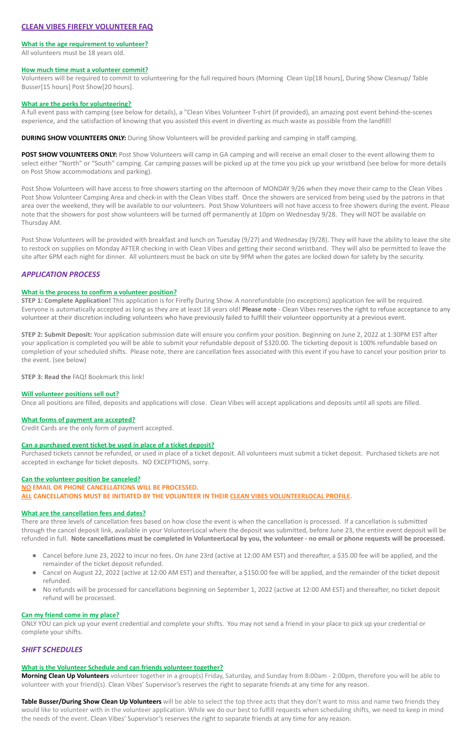# **CLEAN VIBES FIREFLY VOLUNTEER FAQ**

# **What is the age requirement to volunteer?**

All volunteers must be 18 years old.

#### **How much time must a volunteer commit?**

Volunteers will be required to commit to volunteering for the full required hours (Morning Clean Up[18 hours], During Show Cleanup/ Table Busser[15 hours] Post Show[20 hours].

#### **What are the perks for volunteering?**

A full event pass with camping (see below for details), a "Clean Vibes Volunteer T-shirt (if provided), an amazing post event behind-the-scenes experience, and the satisfaction of knowing that you assisted this event in diverting as much waste as possible from the landfill!

**DURING SHOW VOLUNTEERS ONLY:** During Show Volunteers will be provided parking and camping in staff camping.

**POST SHOW VOLUNTEERS ONLY:** Post Show Volunteers will camp in GA camping and will receive an email closer to the event allowing them to select either "North" or "South" camping. Car camping passes will be picked up at the time you pick up your wristband (see below for more details on Post Show accommodations and parking).

Post Show Volunteers will have access to free showers starting on the afternoon of MONDAY 9/26 when they move their camp to the Clean Vibes Post Show Volunteer Camping Area and check-in with the Clean Vibes staff. Once the showers are serviced from being used by the patrons in that area over the weekend, they will be available to our volunteers. Post Show Volunteers will not have access to free showers during the event. Please note that the showers for post show volunteers will be turned off permanently at 10pm on Wednesday 9/28. They will NOT be available on Thursday AM.

Post Show Volunteers will be provided with breakfast and lunch on Tuesday (9/27) and Wednesday (9/28). They will have the ability to leave the site to restock on supplies on Monday AFTER checking in with Clean Vibes and getting their second wristband. They will also be permitted to leave the site after 6PM each night for dinner. All volunteers must be back on site by 9PM when the gates are locked down for safety by the security.

# *APPLICATION PROCESS*

# **What is the process to confirm a volunteer position?**

**STEP 1: Complete Application!** This application is for Firefly During Show. A nonrefundable (no exceptions) application fee will be required. Everyone is automatically accepted as long as they are at least 18 years old! **Please note** - Clean Vibes reserves the right to refuse acceptance to any volunteer at their discretion including volunteers who have previously failed to fulfill their volunteer opportunity at a previous event.

**STEP 2: Submit Deposit:** Your application submission date will ensure you confirm your position. Beginning on June 2, 2022 at 1:30PM EST after your application is completed you will be able to submit your refundable deposit of \$320.00. The ticketing deposit is 100% refundable based on completion of your scheduled shifts. Please note, there are cancellation fees associated with this event if you have to cancel your position prior to the event. (see below)

**Table Busser/During Show Clean Up Volunteers** will be able to select the top three acts that they don't want to miss and name two friends they would like to volunteer with in the volunteer application. While we do our best to fulfill requests when scheduling shifts, we need to keep in mind the needs of the event. Clean Vibes' Supervisor's reserves the right to separate friends at any time for any reason.

**STEP 3: Read the** FAQ**!** Bookmark this link!

# **Will volunteer positions sell out?**

Once all positions are filled, deposits and applications will close. Clean Vibes will accept applications and deposits until all spots are filled.

# **What forms of payment are accepted?**

Credit Cards are the only form of payment accepted.

# **Can a purchased event ticket be used in place of a ticket deposit?**

Purchased tickets cannot be refunded, or used in place of a ticket deposit. All volunteers must submit a ticket deposit. Purchased tickets are not accepted in exchange for ticket deposits. NO EXCEPTIONS, sorry.

#### **Can the volunteer position be canceled?**

# **NO EMAIL OR PHONE CANCELLATIONS WILL BE PROCESSED. ALL CANCELLATIONS MUST BE INITIATED BY THE VOLUNTEER IN THEIR CLEAN VIBES VOLUNTEERLOCAL PROFILE.**

# **What are the cancellation fees and dates?**

There are three levels of cancellation fees based on how close the event is when the cancellation is processed. If a cancellation is submitted through the cancel deposit link, available in your VolunteerLocal where the deposit was submitted, before June 23, the entire event deposit will be

refunded in full. **Note cancellations must be completed in VolunteerLocal by you, the volunteer - no email or phone requests will be processed.**

- Cancel before June 23, 2022 to incur no fees. On June 23rd (active at 12:00 AM EST) and thereafter, a \$35.00 fee will be applied, and the remainder of the ticket deposit refunded.
- Cancel on August 22, 2022 (active at 12:00 AM EST) and thereafter, a \$150.00 fee will be applied, and the remainder of the ticket deposit refunded.
- No refunds will be processed for cancellations beginning on September 1, 2022 (active at 12:00 AM EST) and thereafter, no ticket deposit refund will be processed.

#### **Can my friend come in my place?**

ONLY YOU can pick up your event credential and complete your shifts. You may not send a friend in your place to pick up your credential or complete your shifts.

# *SHIFT SCHEDULES*

#### **What is the Volunteer Schedule and can friends volunteer together?**

**Morning Clean Up Volunteers** volunteer together in a group(s) Friday, Saturday, and Sunday from 8:00am - 2:00pm, therefore you will be able to volunteer with your friend(s). Clean Vibes' Supervisor's reserves the right to separate friends at any time for any reason.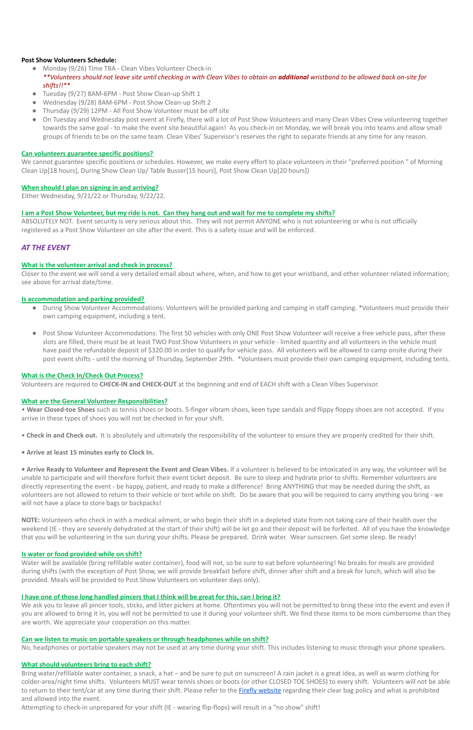# **Post Show Volunteers Schedule:**

- Monday (9/26) Time TBA Clean Vibes Volunteer Check-in *\*\*Volunteers should not leave site until checking in with Clean Vibes to obtain an additional wristband to be allowed back on-site for shifts!!\*\**
- Tuesday (9/27) 8AM-6PM Post Show Clean-up Shift 1
- Wednesday (9/28) 8AM-6PM Post Show Clean-up Shift 2
- Thursday (9/29) 12PM All Post Show Volunteer must be off site
- On Tuesday and Wednesday post event at Firefly, there will a lot of Post Show Volunteers and many Clean Vibes Crew volunteering together towards the same goal - to make the event site beautiful again! As you check-in on Monday, we will break you into teams and allow small groups of friends to be on the same team. Clean Vibes' Supervisor's reserves the right to separate friends at any time for any reason.

# **Can volunteers guarantee specific positions?**

We cannot guarantee specific positions or schedules. However, we make every effort to place volunteers in their "preferred position " of Morning Clean Up[18 hours], During Show Clean Up/ Table Busser[15 hours], Post Show Clean Up[20 hours])

# **When should I plan on signing in and arriving?**

Either Wednesday, 9/21/22 or Thursday, 9/22/22.

# **I am a Post Show Volunteer, but my ride is not. Can they hang out and wait for me to complete my shifts?**

ABSOLUTELY NOT. Event security is very serious about this. They will not permit ANYONE who is not volunteering or who is not officially registered as a Post Show Volunteer on site after the event. This is a safety issue and will be enforced.

# *AT THE EVENT*

# **What is the volunteer arrival and check in process?**

**• Arrive Ready to Volunteer and Represent the Event and Clean Vibes.** If a volunteer is believed to be intoxicated in any way, the volunteer will be unable to participate and will therefore forfeit their event ticket deposit. Be sure to sleep and hydrate prior to shifts. Remember volunteers are directly representing the event - be happy, patient, and ready to make a difference! Bring ANYTHING that may be needed during the shift, as volunteers are not allowed to return to their vehicle or tent while on shift. Do be aware that you will be required to carry anything you bring - we will not have a place to store bags or backpacks!

Closer to the event we will send a very detailed email about where, when, and how to get your wristband, and other volunteer related information; see above for arrival date/time.

# **Is accommodation and parking provided?**

- During Show Volunteer Accommodations: Volunteers will be provided parking and camping in staff camping. \*Volunteers must provide their own camping equipment, including a tent.
- Post Show Volunteer Accommodations: The first 50 vehicles with only ONE Post Show Volunteer will receive a free vehicle pass, after these slots are filled, there must be at least TWO Post Show Volunteers in your vehicle - limited quantity and all volunteers in the vehicle must have paid the refundable deposit of \$320.00 in order to qualify for vehicle pass. All volunteers will be allowed to camp onsite during their post event shifts - until the morning of Thursday, September 29th. \*Volunteers must provide their own camping equipment, including tents.

We ask you to leave all pincer tools, sticks, and litter pickers at home. Oftentimes you will not be permitted to bring these into the event and even if you are allowed to bring it in, you will not be permitted to use it during your volunteer shift. We find these items to be more cumbersome than they are worth. We appreciate your cooperation on this matter.

# **What is the Check In/Check Out Process?**

Volunteers are required to **CHECK-IN and CHECK-OUT** at the beginning and end of EACH shift with a Clean Vibes Supervisor.

# **What are the General Volunteer Responsibilities?**

• **Wear Closed-toe Shoes** such as tennis shoes or boots. 5-finger vibram shoes, keen type sandals and flippy floppy shoes are not accepted. If you arrive in these types of shoes you will not be checked in for your shift.

- **Check in and Check out.** It is absolutely and ultimately the responsibility of the volunteer to ensure they are properly credited for their shift.
- **• Arrive at least 15 minutes early to Clock In.**

**NOTE:** Volunteers who check in with a medical ailment, or who begin their shift in a depleted state from not taking care of their health over the weekend (IE - they are severely dehydrated at the start of their shift) will be let go and their deposit will be forfeited. All of you have the knowledge

that you will be volunteering in the sun during your shifts. Please be prepared. Drink water. Wear sunscreen. Get some sleep. Be ready!

#### **Is water or food provided while on shift?**

Water will be available (bring refillable water container), food will not, so be sure to eat before volunteering! No breaks for meals are provided during shifts (with the exception of Post Show, we will provide breakfast before shift, dinner after shift and a break for lunch, which will also be provided. Meals will be provided to Post Show Volunteers on volunteer days only).

#### **I have one of those long handled pincers that I think will be great for this, can I bring it?**

#### **Can we listen to music on portable speakers or through headphones while on shift?**

No, headphones or portable speakers may not be used at any time during your shift. This includes listening to music through your phone speakers.

#### **What should volunteers bring to each shift?**

Bring water/refillable water container, a snack, a hat – and be sure to put on sunscreen! A rain jacket is a great idea, as well as warm clothing for colder-area/night time shifts. Volunteers MUST wear tennis shoes or boots (or other CLOSED TOE SHOES) to every shift. Volunteers will not be able to return to their tent/car at any time during their shift. Please refer to the **[Firefly website](https://fireflyfestival.com/)** regarding their clear bag policy and what is prohibited and allowed into the event.

Attempting to check-in unprepared for your shift (IE - wearing flip-flops) will result in a "no show" shift!